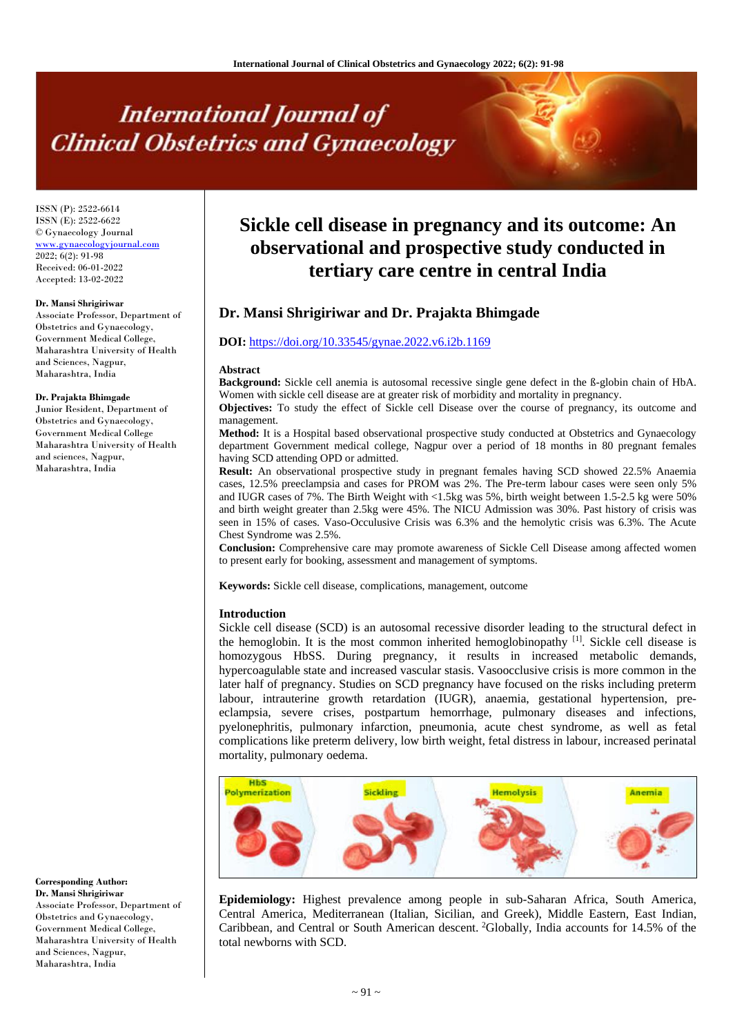# **International Journal of Clinical Obstetrics and Gynaecology**

ISSN (P): 2522-6614 ISSN (E): 2522-6622 © Gynaecology Journal [www.gynaecologyjournal.com](http://www.gynaecologyjournal.com/) 2022; 6(2): 91-98 Received: 06-01-2022 Accepted: 13-02-2022

#### **Dr. Mansi Shrigiriwar**

Associate Professor, Department of Obstetrics and Gynaecology, Government Medical College, Maharashtra University of Health and Sciences, Nagpur, Maharashtra, India

#### **Dr. Prajakta Bhimgade**

Junior Resident, Department of Obstetrics and Gynaecology, Government Medical College Maharashtra University of Health and sciences, Nagpur, Maharashtra, India

# **Sickle cell disease in pregnancy and its outcome: An observational and prospective study conducted in tertiary care centre in central India**

# **Dr. Mansi Shrigiriwar and Dr. Prajakta Bhimgade**

# **DOI:** <https://doi.org/10.33545/gynae.2022.v6.i2b.1169>

#### **Abstract**

**Background:** Sickle cell anemia is autosomal recessive single gene defect in the ß-globin chain of HbA. Women with sickle cell disease are at greater risk of morbidity and mortality in pregnancy.

**Objectives:** To study the effect of Sickle cell Disease over the course of pregnancy, its outcome and management.

**Method:** It is a Hospital based observational prospective study conducted at Obstetrics and Gynaecology department Government medical college, Nagpur over a period of 18 months in 80 pregnant females having SCD attending OPD or admitted.

**Result:** An observational prospective study in pregnant females having SCD showed 22.5% Anaemia cases, 12.5% preeclampsia and cases for PROM was 2%. The Pre-term labour cases were seen only 5% and IUGR cases of 7%. The Birth Weight with <1.5kg was 5%, birth weight between 1.5-2.5 kg were 50% and birth weight greater than 2.5kg were 45%. The NICU Admission was 30%. Past history of crisis was seen in 15% of cases. Vaso-Occulusive Crisis was 6.3% and the hemolytic crisis was 6.3%. The Acute Chest Syndrome was 2.5%.

**Conclusion:** Comprehensive care may promote awareness of Sickle Cell Disease among affected women to present early for booking, assessment and management of symptoms.

**Keywords:** Sickle cell disease, complications, management, outcome

#### **Introduction**

Sickle cell disease (SCD) is an autosomal recessive disorder leading to the structural defect in the hemoglobin. It is the most common inherited hemoglobinopathy  $[1]$ . Sickle cell disease is homozygous HbSS. During pregnancy, it results in increased metabolic demands, hypercoagulable state and increased vascular stasis. Vasoocclusive crisis is more common in the later half of pregnancy. Studies on SCD pregnancy have focused on the risks including preterm labour, intrauterine growth retardation (IUGR), anaemia, gestational hypertension, preeclampsia, severe crises, postpartum hemorrhage, pulmonary diseases and infections, pyelonephritis, pulmonary infarction, pneumonia, acute chest syndrome, as well as fetal complications like preterm delivery, low birth weight, fetal distress in labour, increased perinatal mortality, pulmonary oedema.



**Epidemiology:** Highest prevalence among people in sub-Saharan Africa, South America, Central America, Mediterranean (Italian, Sicilian, and Greek), Middle Eastern, East Indian, Caribbean, and Central or South American descent. <sup>2</sup>Globally, India accounts for 14.5% of the total newborns with SCD.

**Corresponding Author: Dr. Mansi Shrigiriwar**

Associate Professor, Department of Obstetrics and Gynaecology, Government Medical College, Maharashtra University of Health and Sciences, Nagpur, Maharashtra, India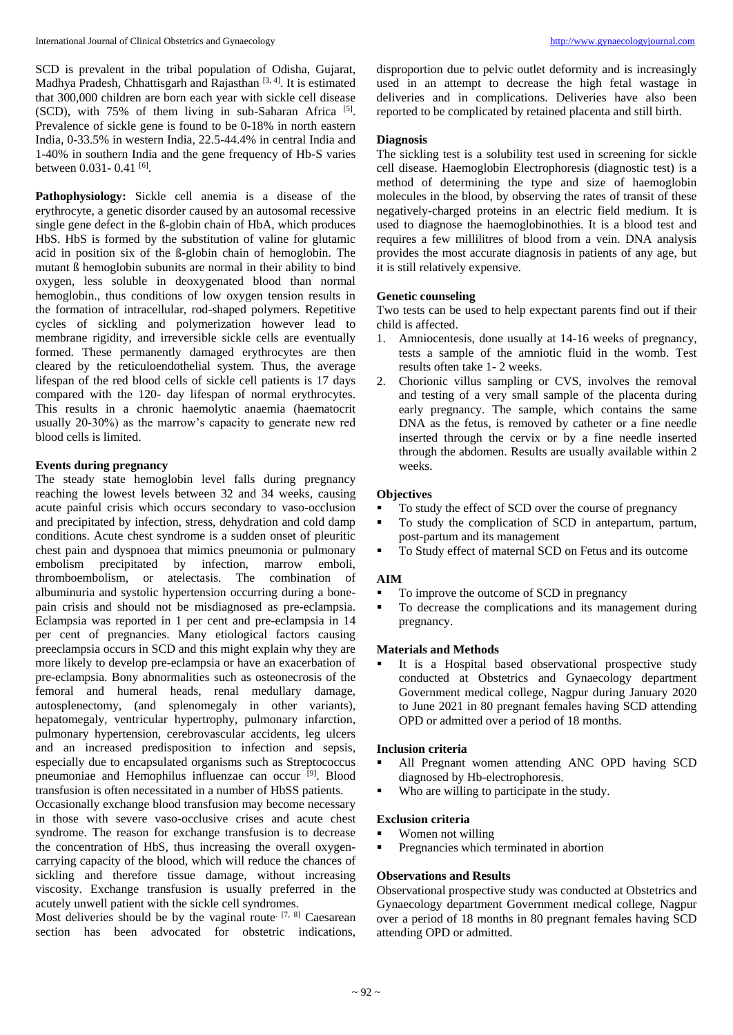SCD is prevalent in the tribal population of Odisha, Gujarat, Madhya Pradesh, Chhattisgarh and Rajasthan<sup>[3,4]</sup>. It is estimated that 300,000 children are born each year with sickle cell disease (SCD), with 75% of them living in sub-Saharan Africa<sup>[5]</sup>. Prevalence of sickle gene is found to be 0-18% in north eastern India, 0-33.5% in western India, 22.5-44.4% in central India and 1-40% in southern India and the gene frequency of Hb-S varies between 0.031 - 0.41 <sup>[6]</sup>.

**Pathophysiology:** Sickle cell anemia is a disease of the erythrocyte, a genetic disorder caused by an autosomal recessive single gene defect in the ß-globin chain of HbA, which produces HbS. HbS is formed by the substitution of valine for glutamic acid in position six of the ß-globin chain of hemoglobin. The mutant ß hemoglobin subunits are normal in their ability to bind oxygen, less soluble in deoxygenated blood than normal hemoglobin., thus conditions of low oxygen tension results in the formation of intracellular, rod-shaped polymers. Repetitive cycles of sickling and polymerization however lead to membrane rigidity, and irreversible sickle cells are eventually formed. These permanently damaged erythrocytes are then cleared by the reticuloendothelial system. Thus, the average lifespan of the red blood cells of sickle cell patients is 17 days compared with the 120- day lifespan of normal erythrocytes. This results in a chronic haemolytic anaemia (haematocrit usually 20-30%) as the marrow's capacity to generate new red blood cells is limited.

#### **Events during pregnancy**

The steady state hemoglobin level falls during pregnancy reaching the lowest levels between 32 and 34 weeks, causing acute painful crisis which occurs secondary to vaso-occlusion and precipitated by infection, stress, dehydration and cold damp conditions. Acute chest syndrome is a sudden onset of pleuritic chest pain and dyspnoea that mimics pneumonia or pulmonary embolism precipitated by infection, marrow emboli, thromboembolism, or atelectasis. The combination of albuminuria and systolic hypertension occurring during a bonepain crisis and should not be misdiagnosed as pre-eclampsia. Eclampsia was reported in 1 per cent and pre-eclampsia in 14 per cent of pregnancies. Many etiological factors causing preeclampsia occurs in SCD and this might explain why they are more likely to develop pre-eclampsia or have an exacerbation of pre-eclampsia. Bony abnormalities such as osteonecrosis of the femoral and humeral heads, renal medullary damage, autosplenectomy, (and splenomegaly in other variants), hepatomegaly, ventricular hypertrophy, pulmonary infarction, pulmonary hypertension, cerebrovascular accidents, leg ulcers and an increased predisposition to infection and sepsis, especially due to encapsulated organisms such as Streptococcus pneumoniae and Hemophilus influenzae can occur <sup>[9]</sup>. Blood transfusion is often necessitated in a number of HbSS patients.

Occasionally exchange blood transfusion may become necessary in those with severe vaso-occlusive crises and acute chest syndrome. The reason for exchange transfusion is to decrease the concentration of HbS, thus increasing the overall oxygencarrying capacity of the blood, which will reduce the chances of sickling and therefore tissue damage, without increasing viscosity. Exchange transfusion is usually preferred in the acutely unwell patient with the sickle cell syndromes.

Most deliveries should be by the vaginal route.  $[7, 8]$  Caesarean section has been advocated for obstetric indications,

disproportion due to pelvic outlet deformity and is increasingly used in an attempt to decrease the high fetal wastage in deliveries and in complications. Deliveries have also been reported to be complicated by retained placenta and still birth.

# **Diagnosis**

The sickling test is a solubility test used in screening for sickle cell disease. Haemoglobin Electrophoresis (diagnostic test) is a method of determining the type and size of haemoglobin molecules in the blood, by observing the rates of transit of these negatively-charged proteins in an electric field medium. It is used to diagnose the haemoglobinothies. It is a blood test and requires a few millilitres of blood from a vein. DNA analysis provides the most accurate diagnosis in patients of any age, but it is still relatively expensive.

# **Genetic counseling**

Two tests can be used to help expectant parents find out if their child is affected.

- 1. Amniocentesis, done usually at 14-16 weeks of pregnancy, tests a sample of the amniotic fluid in the womb. Test results often take 1- 2 weeks.
- 2. Chorionic villus sampling or CVS, involves the removal and testing of a very small sample of the placenta during early pregnancy. The sample, which contains the same DNA as the fetus, is removed by catheter or a fine needle inserted through the cervix or by a fine needle inserted through the abdomen. Results are usually available within 2 weeks.

# **Objectives**

- To study the effect of SCD over the course of pregnancy
- To study the complication of SCD in antepartum, partum, post-partum and its management
- To Study effect of maternal SCD on Fetus and its outcome

#### **AIM**

- To improve the outcome of SCD in pregnancy
- To decrease the complications and its management during pregnancy.

# **Materials and Methods**

 It is a Hospital based observational prospective study conducted at Obstetrics and Gynaecology department Government medical college, Nagpur during January 2020 to June 2021 in 80 pregnant females having SCD attending OPD or admitted over a period of 18 months.

# **Inclusion criteria**

- All Pregnant women attending ANC OPD having SCD diagnosed by Hb-electrophoresis.
- Who are willing to participate in the study.

#### **Exclusion criteria**

- Women not willing
- Pregnancies which terminated in abortion

#### **Observations and Results**

Observational prospective study was conducted at Obstetrics and Gynaecology department Government medical college, Nagpur over a period of 18 months in 80 pregnant females having SCD attending OPD or admitted.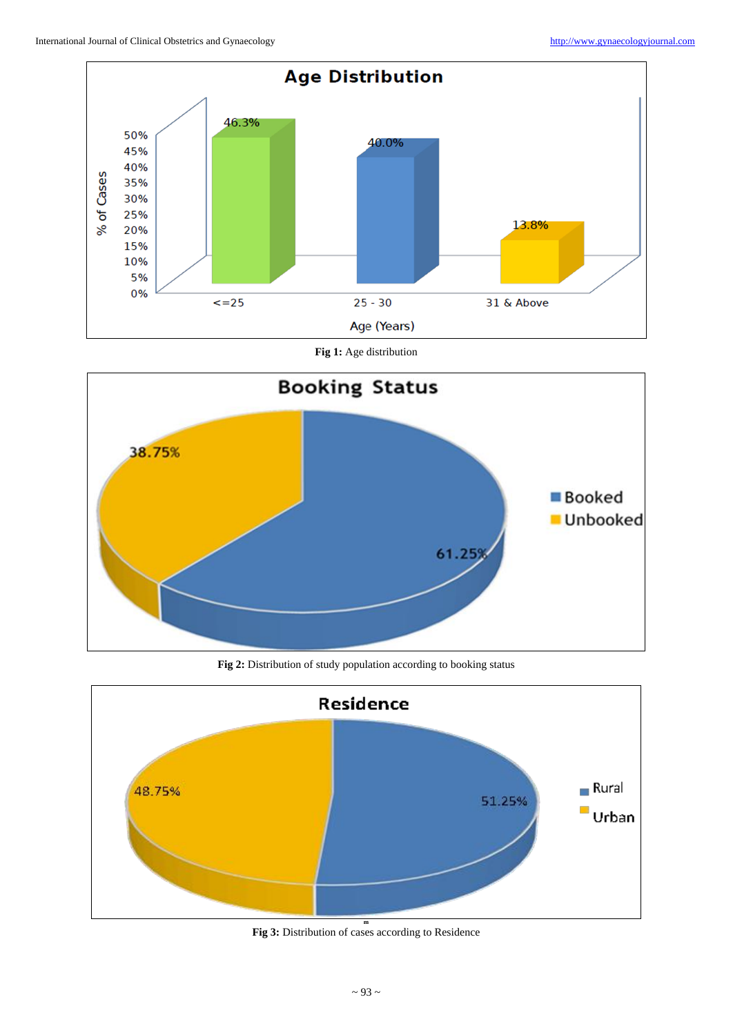

**Fig 1:** Age distribution



**Fig 2:** Distribution of study population according to booking status



**Fig 3:** Distribution of cases according to Residence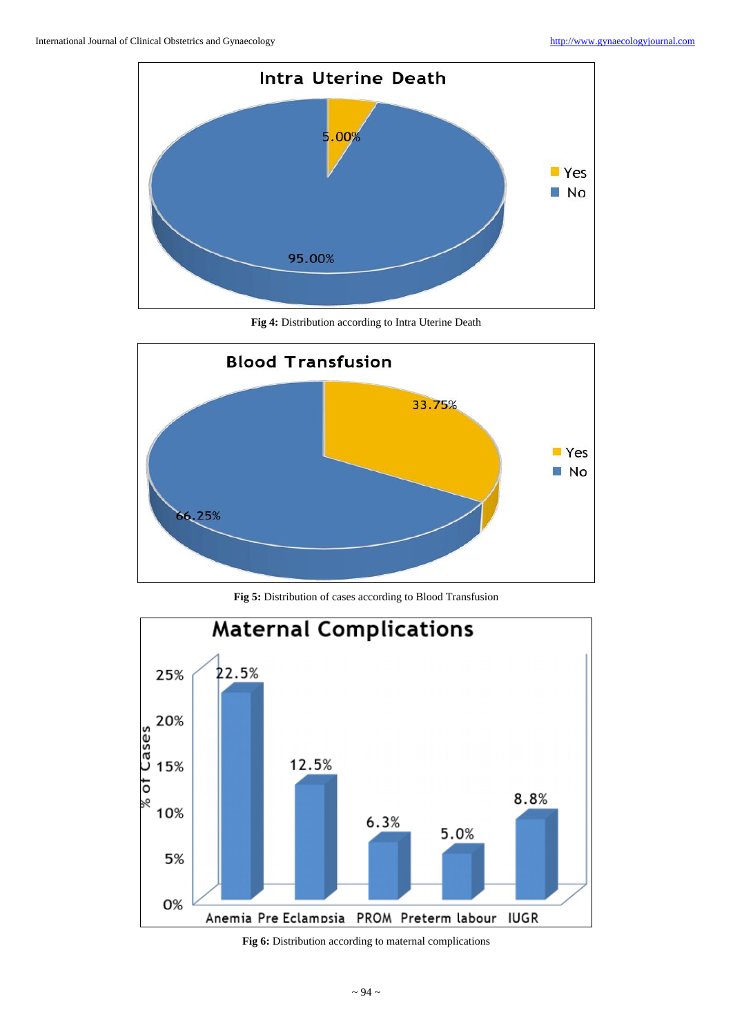

**Fig 4:** Distribution according to Intra Uterine Death



**Fig 5:** Distribution of cases according to Blood Transfusion



**Fig 6:** Distribution according to maternal complications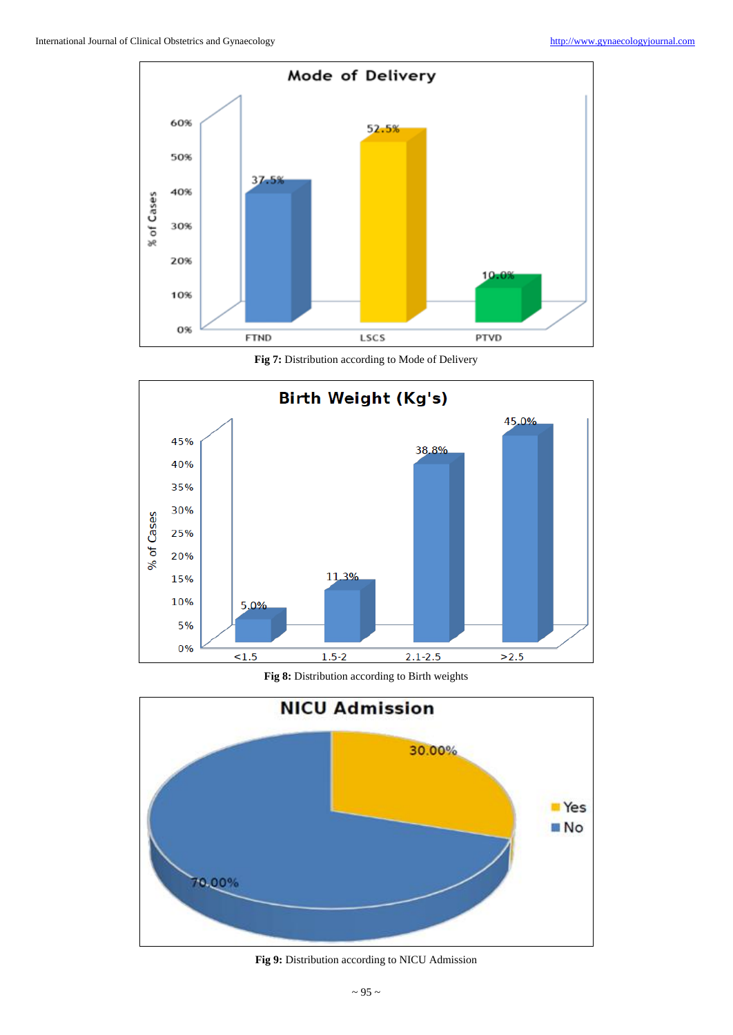

**Fig 7:** Distribution according to Mode of Delivery



**Fig 8:** Distribution according to Birth weights



**Fig 9:** Distribution according to NICU Admission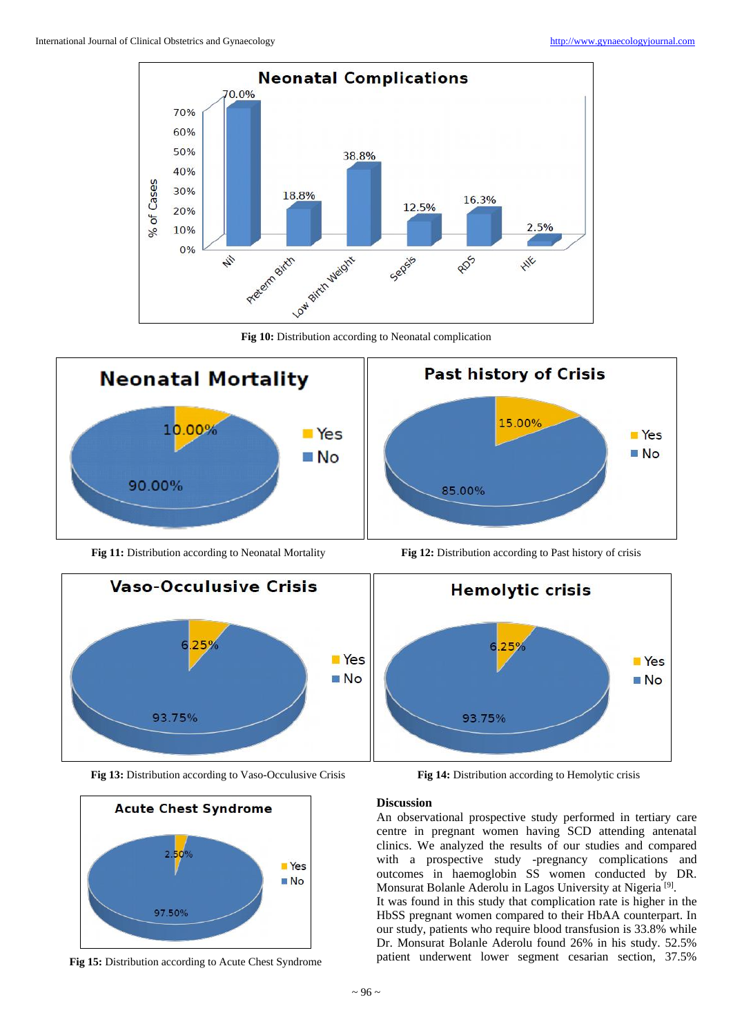

**Fig 10:** Distribution according to Neonatal complication



**Fig 11:** Distribution according to Neonatal Mortality **Fig 12:** Distribution according to Past history of crisis



**Fig 13:** Distribution according to Vaso-Occulusive Crisis **Fig 14:** Distribution according to Hemolytic crisis



**Fig 15:** Distribution according to Acute Chest Syndrome





#### **Discussion**

An observational prospective study performed in tertiary care centre in pregnant women having SCD attending antenatal clinics. We analyzed the results of our studies and compared with a prospective study -pregnancy complications and outcomes in haemoglobin SS women conducted by DR. Monsurat Bolanle Aderolu in Lagos University at Nigeria<sup>[9]</sup>. It was found in this study that complication rate is higher in the HbSS pregnant women compared to their HbAA counterpart. In our study, patients who require blood transfusion is 33.8% while Dr. Monsurat Bolanle Aderolu found 26% in his study. 52.5% patient underwent lower segment cesarian section, 37.5%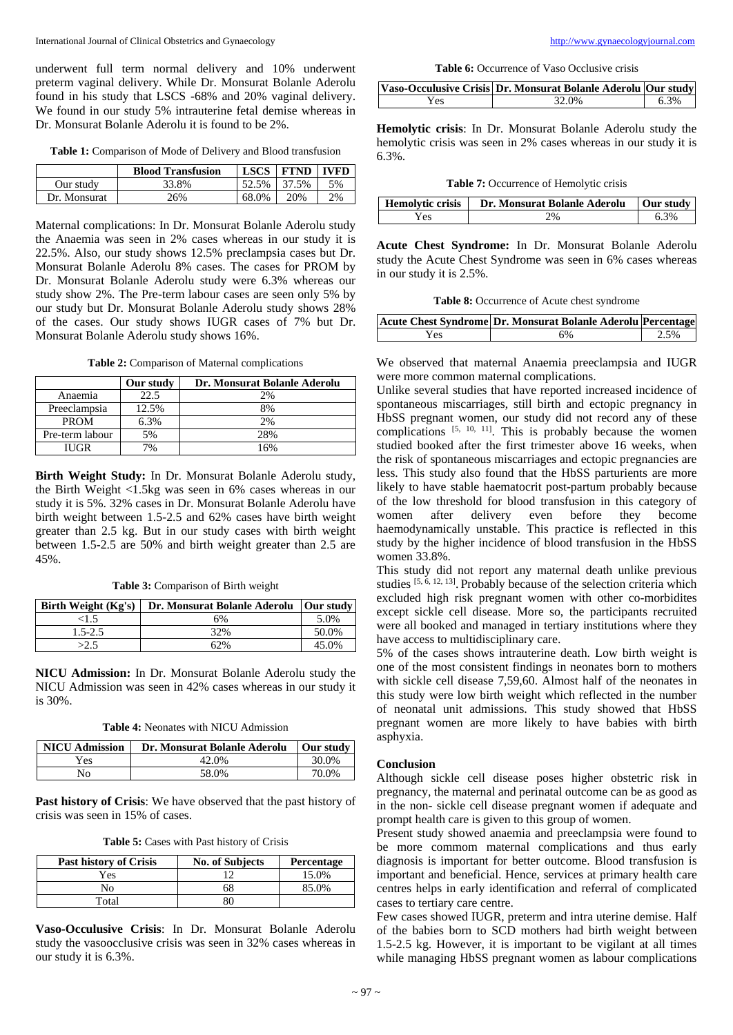underwent full term normal delivery and 10% underwent preterm vaginal delivery. While Dr. Monsurat Bolanle Aderolu found in his study that LSCS -68% and 20% vaginal delivery. We found in our study 5% intrauterine fetal demise whereas in Dr. Monsurat Bolanle Aderolu it is found to be 2%.

**Table 1:** Comparison of Mode of Delivery and Blood transfusion

|              | <b>Blood Transfusion</b> | <b>LSCS</b> | <b>FTND</b> | IVFD |
|--------------|--------------------------|-------------|-------------|------|
| Our study    | 33.8%                    | 52.5%       | 37.5%       | 5%   |
| Dr. Monsurat | 26%                      | 68.0%       | 20%         | 2%   |

Maternal complications: In Dr. Monsurat Bolanle Aderolu study the Anaemia was seen in 2% cases whereas in our study it is 22.5%. Also, our study shows 12.5% preclampsia cases but Dr. Monsurat Bolanle Aderolu 8% cases. The cases for PROM by Dr. Monsurat Bolanle Aderolu study were 6.3% whereas our study show 2%. The Pre-term labour cases are seen only 5% by our study but Dr. Monsurat Bolanle Aderolu study shows 28% of the cases. Our study shows IUGR cases of 7% but Dr. Monsurat Bolanle Aderolu study shows 16%.

**Table 2:** Comparison of Maternal complications

|                 | Our study | Dr. Monsurat Bolanle Aderolu |
|-----------------|-----------|------------------------------|
| Anaemia         | 22.5      | 2%                           |
| Preeclampsia    | 12.5%     | 8%                           |
| <b>PROM</b>     | 6.3%      | 2%                           |
| Pre-term labour | 5%        | 28%                          |
| IUGR-           |           | 6%                           |

**Birth Weight Study:** In Dr. Monsurat Bolanle Aderolu study, the Birth Weight <1.5kg was seen in 6% cases whereas in our study it is 5%. 32% cases in Dr. Monsurat Bolanle Aderolu have birth weight between 1.5-2.5 and 62% cases have birth weight greater than 2.5 kg. But in our study cases with birth weight between 1.5-2.5 are 50% and birth weight greater than 2.5 are 45%.

**Table 3:** Comparison of Birth weight

| Birth Weight (Kg's) | Dr. Monsurat Bolanle Aderolu | <b>Our study</b> |
|---------------------|------------------------------|------------------|
| <1.5                | 6%                           | 5.0%             |
| $1.5 - 2.5$         | 32%                          | 50.0%            |
| >2.5                | 62%                          | 45.0%            |

**NICU Admission:** In Dr. Monsurat Bolanle Aderolu study the NICU Admission was seen in 42% cases whereas in our study it is 30%.

**Table 4:** Neonates with NICU Admission

| <b>NICU</b> Admission | Dr. Monsurat Bolanle Aderolu | Our study |
|-----------------------|------------------------------|-----------|
| Yes                   | 42.0%                        | 30.0%     |
| No                    | 58.0%                        | 70.0%     |

**Past history of Crisis**: We have observed that the past history of crisis was seen in 15% of cases.

**Table 5:** Cases with Past history of Crisis

| <b>Past history of Crisis</b> | <b>No. of Subjects</b> | Percentage |
|-------------------------------|------------------------|------------|
| Yes                           |                        | 15.0%      |
| N٥                            | אר                     | 85.0%      |
| Total                         |                        |            |

**Vaso-Occulusive Crisis**: In Dr. Monsurat Bolanle Aderolu study the vasoocclusive crisis was seen in 32% cases whereas in our study it is 6.3%.

**Table 6:** Occurrence of Vaso Occlusive crisis

|     | Vaso-Occulusive Crisis Dr. Monsurat Bolanle Aderolu Our study |      |
|-----|---------------------------------------------------------------|------|
| Yes | 32.0%                                                         | 6.3% |

**Hemolytic crisis**: In Dr. Monsurat Bolanle Aderolu study the hemolytic crisis was seen in 2% cases whereas in our study it is 6.3%.

**Table 7:** Occurrence of Hemolytic crisis

| <b>Hemolytic crisis</b> | Dr. Monsurat Bolanle Aderolu | Our study |
|-------------------------|------------------------------|-----------|
| ′es                     |                              | 3%        |

**Acute Chest Syndrome:** In Dr. Monsurat Bolanle Aderolu study the Acute Chest Syndrome was seen in 6% cases whereas in our study it is 2.5%.

**Table 8:** Occurrence of Acute chest syndrome

|     | Acute Chest Syndrome Dr. Monsurat Bolanle Aderolu Percentage |      |
|-----|--------------------------------------------------------------|------|
| Yes | 6%                                                           | 2.5% |

We observed that maternal Anaemia preeclampsia and IUGR were more common maternal complications.

Unlike several studies that have reported increased incidence of spontaneous miscarriages, still birth and ectopic pregnancy in HbSS pregnant women, our study did not record any of these complications  $[5, 10, 11]$ . This is probably because the women studied booked after the first trimester above 16 weeks, when the risk of spontaneous miscarriages and ectopic pregnancies are less. This study also found that the HbSS parturients are more likely to have stable haematocrit post-partum probably because of the low threshold for blood transfusion in this category of women after delivery even before they become haemodynamically unstable. This practice is reflected in this study by the higher incidence of blood transfusion in the HbSS women 33.8%.

This study did not report any maternal death unlike previous studies [5, 6, 12, 13]. Probably because of the selection criteria which excluded high risk pregnant women with other co-morbidites except sickle cell disease. More so, the participants recruited were all booked and managed in tertiary institutions where they have access to multidisciplinary care.

5% of the cases shows intrauterine death. Low birth weight is one of the most consistent findings in neonates born to mothers with sickle cell disease 7,59,60. Almost half of the neonates in this study were low birth weight which reflected in the number of neonatal unit admissions. This study showed that HbSS pregnant women are more likely to have babies with birth asphyxia.

# **Conclusion**

Although sickle cell disease poses higher obstetric risk in pregnancy, the maternal and perinatal outcome can be as good as in the non- sickle cell disease pregnant women if adequate and prompt health care is given to this group of women.

Present study showed anaemia and preeclampsia were found to be more commom maternal complications and thus early diagnosis is important for better outcome. Blood transfusion is important and beneficial. Hence, services at primary health care centres helps in early identification and referral of complicated cases to tertiary care centre.

Few cases showed IUGR, preterm and intra uterine demise. Half of the babies born to SCD mothers had birth weight between 1.5-2.5 kg. However, it is important to be vigilant at all times while managing HbSS pregnant women as labour complications